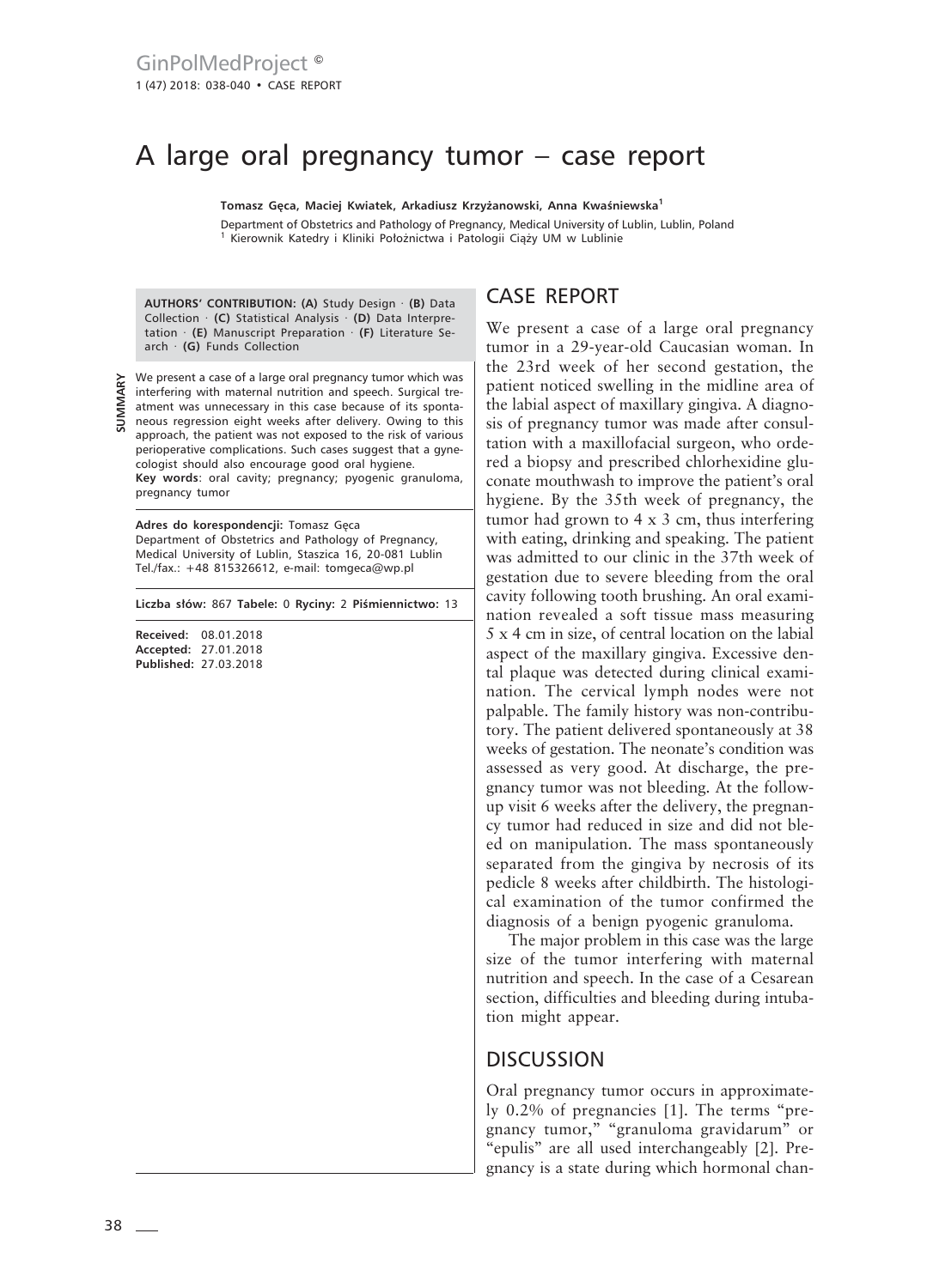# A large oral pregnancy tumor – case report

**Tomasz Gęca, Maciej Kwiatek, Arkadiusz Krzyżanowski, Anna Kwaśniewska<sup>1</sup>**

Department of Obstetrics and Pathology of Pregnancy, Medical University of Lublin, Lublin, Poland 1 Kierownik Katedry i Kliniki Położnictwa i Patologii Ciąży UM w Lublinie

**AUTHORS' CONTRIBUTION: (A)** Study Design · **(B)** Data Collection · **(C)** Statistical Analysis · **(D)** Data Interpretation · **(E)** Manuscript Preparation · **(F)** Literature Search · **(G)** Funds Collection

**SUMMARY**

We present a case of a large oral pregnancy tumor which was interfering with maternal nutrition and speech. Surgical treatment was unnecessary in this case because of its spontaneous regression eight weeks after delivery. Owing to this approach, the patient was not exposed to the risk of various perioperative complications. Such cases suggest that a gynecologist should also encourage good oral hygiene. **Key words**: oral cavity; pregnancy; pyogenic granuloma, pregnancy tumor

**Adres do korespondencji:** Tomasz Gęca Department of Obstetrics and Pathology of Pregnancy, Medical University of Lublin, Staszica 16, 20-081 Lublin Tel./fax.: +48 815326612, e-mail: tomgeca@wp.pl

**Liczba słów:** 867 **Tabele:** 0 **Ryciny:** 2 **Piśmiennictwo:** 13

**Received:** 08.01.2018 **Accepted:** 27.01.2018 **Published:** 27.03.2018

## CASE REPORT

We present a case of a large oral pregnancy tumor in a 29-year-old Caucasian woman. In the 23rd week of her second gestation, the patient noticed swelling in the midline area of the labial aspect of maxillary gingiva. A diagnosis of pregnancy tumor was made after consultation with a maxillofacial surgeon, who ordered a biopsy and prescribed chlorhexidine gluconate mouthwash to improve the patient's oral hygiene. By the 35th week of pregnancy, the tumor had grown to 4 x 3 cm, thus interfering with eating, drinking and speaking. The patient was admitted to our clinic in the 37th week of gestation due to severe bleeding from the oral cavity following tooth brushing. An oral examination revealed a soft tissue mass measuring 5 x 4 cm in size, of central location on the labial aspect of the maxillary gingiva. Excessive dental plaque was detected during clinical examination. The cervical lymph nodes were not palpable. The family history was non-contributory. The patient delivered spontaneously at 38 weeks of gestation. The neonate's condition was assessed as very good. At discharge, the pregnancy tumor was not bleeding. At the followup visit 6 weeks after the delivery, the pregnancy tumor had reduced in size and did not bleed on manipulation. The mass spontaneously separated from the gingiva by necrosis of its pedicle 8 weeks after childbirth. The histological examination of the tumor confirmed the diagnosis of a benign pyogenic granuloma.

The major problem in this case was the large size of the tumor interfering with maternal nutrition and speech. In the case of a Cesarean section, difficulties and bleeding during intubation might appear.

#### **DISCUSSION**

Oral pregnancy tumor occurs in approximately 0.2% of pregnancies [1]. The terms "pregnancy tumor," "granuloma gravidarum" or "epulis" are all used interchangeably [2]. Pregnancy is a state during which hormonal chan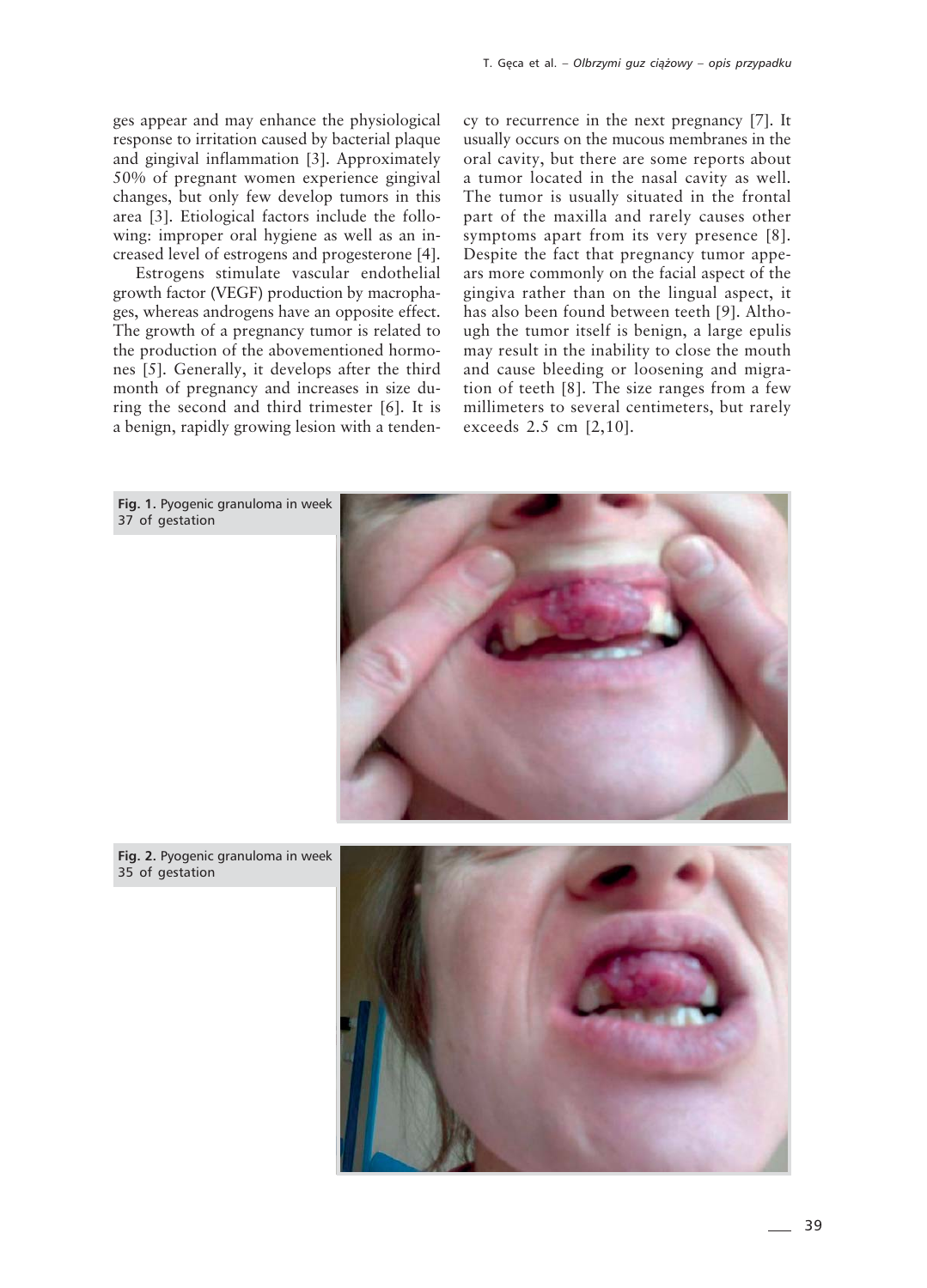ges appear and may enhance the physiological response to irritation caused by bacterial plaque and gingival inflammation [3]. Approximately 50% of pregnant women experience gingival changes, but only few develop tumors in this area [3]. Etiological factors include the following: improper oral hygiene as well as an increased level of estrogens and progesterone [4].

Estrogens stimulate vascular endothelial growth factor (VEGF) production by macrophages, whereas androgens have an opposite effect. The growth of a pregnancy tumor is related to the production of the abovementioned hormones [5]. Generally, it develops after the third month of pregnancy and increases in size during the second and third trimester [6]. It is a benign, rapidly growing lesion with a tendency to recurrence in the next pregnancy [7]. It usually occurs on the mucous membranes in the oral cavity, but there are some reports about a tumor located in the nasal cavity as well. The tumor is usually situated in the frontal part of the maxilla and rarely causes other symptoms apart from its very presence [8]. Despite the fact that pregnancy tumor appears more commonly on the facial aspect of the gingiva rather than on the lingual aspect, it has also been found between teeth [9]. Although the tumor itself is benign, a large epulis may result in the inability to close the mouth and cause bleeding or loosening and migration of teeth [8]. The size ranges from a few millimeters to several centimeters, but rarely exceeds 2.5 cm [2,10].



**Fig. 2.** Pyogenic granuloma in week 35 of gestation